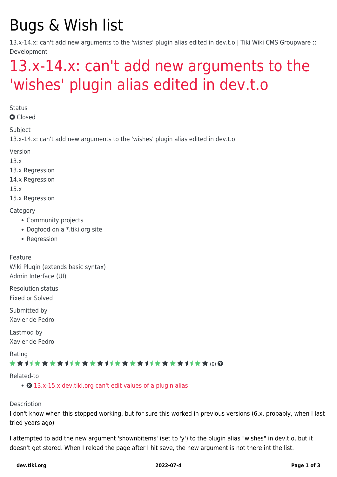# Bugs & Wish list

13.x-14.x: can't add new arguments to the 'wishes' plugin alias edited in dev.t.o | Tiki Wiki CMS Groupware :: Development

### [13.x-14.x: can't add new arguments to the](https://dev.tiki.org/item5421-13-x-14-x-can-t-add-new-arguments-to-the-wishes-plugin-alias-edited-in-dev-t-o) ['wishes' plugin alias edited in dev.t.o](https://dev.tiki.org/item5421-13-x-14-x-can-t-add-new-arguments-to-the-wishes-plugin-alias-edited-in-dev-t-o)

**Status** 

**a** Closed

Subject

13.x-14.x: can't add new arguments to the 'wishes' plugin alias edited in dev.t.o

Version

13.x

13.x Regression

14.x Regression

15.x

15.x Regression

**Category** 

- Community projects
- Dogfood on a \*.tiki.org site
- Regression

Feature Wiki Plugin (extends basic syntax) Admin Interface (UI)

Resolution status Fixed or Solved

Submitted by Xavier de Pedro

Lastmod by Xavier de Pedro

Rating

#### \*\*\*\*\*\*\*\*\*\*\*\*\*\*\*\*\*\*\*\*\*\*\*\*\*\*\*\*\*\*

Related-to

• **O** [13.x-15.x dev.tiki.org can't edit values of a plugin alias](https://dev.tiki.org/item5393-13-x-15-x-dev-tiki-org-can-t-edit-values-of-a-plugin-alias)

#### Description

I don't know when this stopped working, but for sure this worked in previous versions (6.x, probably, when I last tried years ago)

I attempted to add the new argument 'shownbitems' (set to 'y') to the plugin alias "wishes" in dev.t.o, but it doesn't get stored. When I reload the page after I hit save, the new argument is not there int the list.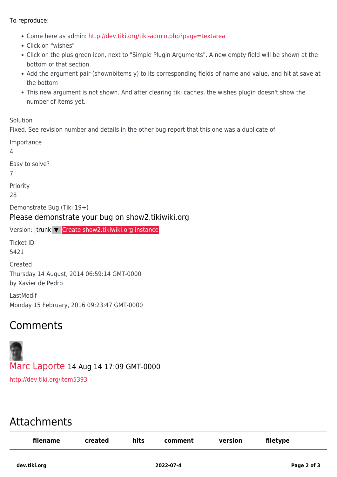#### To reproduce:

- Come here as admin:<http://dev.tiki.org/tiki-admin.php?page=textarea>
- Click on "wishes"
- Click on the plus green icon, next to "Simple Plugin Arguments". A new empty field will be shown at the bottom of that section.
- Add the argument pair (shownbitems y) to its corresponding fields of name and value, and hit at save at the bottom
- This new argument is not shown. And after clearing tiki caches, the wishes plugin doesn't show the number of items yet.

Solution

Fixed. See revision number and details in the other bug report that this one was a duplicate of.

| Importance<br>4                                                                 |
|---------------------------------------------------------------------------------|
| Easy to solve?                                                                  |
| Priority<br>28                                                                  |
| Demonstrate Bug (Tiki 19+)<br>Please demonstrate your bug on show2.tikiwiki.org |
| Version: trunk $\triangledown$ Create show2.tikiwiki.org instance               |
| Ticket ID<br><b>-431</b>                                                        |

5421 Created Thursday 14 August, 2014 06:59:14 GMT-0000 by Xavier de Pedro

LastModif Monday 15 February, 2016 09:23:47 GMT-0000

### Comments

## [Marc Laporte](https://dev.tiki.org/user11197) 14 Aug 14 17:09 GMT-0000 <http://dev.tiki.org/item5393>

### Attachments

| filename | created | hits | comment | version | filetype |
|----------|---------|------|---------|---------|----------|
|          |         |      |         |         |          |